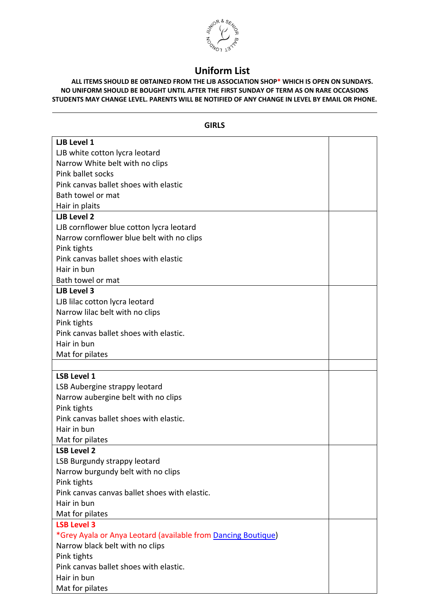

## **Uniform List**

**ALL ITEMS SHOULD BE OBTAINED FROM THE LJB ASSOCIATION SHOP\* WHICH IS OPEN ON SUNDAYS. NO UNIFORM SHOULD BE BOUGHT UNTIL AFTER THE FIRST SUNDAY OF TERM AS ON RARE OCCASIONS STUDENTS MAY CHANGE LEVEL. PARENTS WILL BE NOTIFIED OF ANY CHANGE IN LEVEL BY EMAIL OR PHONE.**

| <b>GIRLS</b>                                                  |  |  |
|---------------------------------------------------------------|--|--|
| <b>LJB Level 1</b>                                            |  |  |
| LJB white cotton lycra leotard                                |  |  |
| Narrow White belt with no clips                               |  |  |
| Pink ballet socks                                             |  |  |
| Pink canvas ballet shoes with elastic                         |  |  |
| Bath towel or mat                                             |  |  |
| Hair in plaits                                                |  |  |
| <b>LJB Level 2</b>                                            |  |  |
| LJB cornflower blue cotton lycra leotard                      |  |  |
| Narrow cornflower blue belt with no clips                     |  |  |
| Pink tights                                                   |  |  |
| Pink canvas ballet shoes with elastic                         |  |  |
| Hair in bun                                                   |  |  |
| Bath towel or mat                                             |  |  |
| <b>LJB Level 3</b>                                            |  |  |
| LJB lilac cotton lycra leotard                                |  |  |
| Narrow lilac belt with no clips                               |  |  |
| Pink tights                                                   |  |  |
| Pink canvas ballet shoes with elastic.                        |  |  |
| Hair in bun                                                   |  |  |
| Mat for pilates                                               |  |  |
|                                                               |  |  |
| <b>LSB Level 1</b>                                            |  |  |
| LSB Aubergine strappy leotard                                 |  |  |
| Narrow aubergine belt with no clips                           |  |  |
| Pink tights                                                   |  |  |
| Pink canvas ballet shoes with elastic.                        |  |  |
| Hair in bun                                                   |  |  |
| Mat for pilates                                               |  |  |
| <b>LSB Level 2</b>                                            |  |  |
| LSB Burgundy strappy leotard                                  |  |  |
| Narrow burgundy belt with no clips                            |  |  |
| Pink tights                                                   |  |  |
| Pink canvas canvas ballet shoes with elastic.                 |  |  |
| Hair in bun                                                   |  |  |
| Mat for pilates                                               |  |  |
| <b>LSB Level 3</b>                                            |  |  |
| *Grey Ayala or Anya Leotard (available from Dancing Boutique) |  |  |
| Narrow black belt with no clips                               |  |  |
| Pink tights                                                   |  |  |
| Pink canvas ballet shoes with elastic.                        |  |  |
| Hair in bun                                                   |  |  |
| Mat for pilates                                               |  |  |